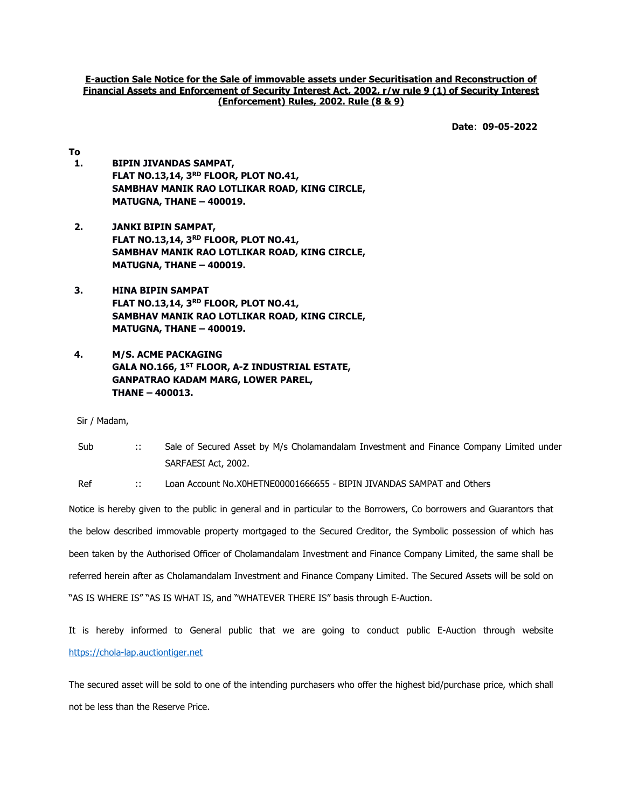E-auction Sale Notice for the Sale of immovable assets under Securitisation and Reconstruction of Financial Assets and Enforcement of Security Interest Act, 2002, r/w rule 9 (1) of Security Interest (Enforcement) Rules, 2002. Rule (8 & 9)

Date: 09-05-2022

- To 1. BIPIN JIVANDAS SAMPAT, FLAT NO.13,14, 3RD FLOOR, PLOT NO.41, SAMBHAV MANIK RAO LOTLIKAR ROAD, KING CIRCLE, MATUGNA, THANE – 400019.
- 2. JANKI BIPIN SAMPAT, FLAT NO.13,14, 3RD FLOOR, PLOT NO.41, SAMBHAV MANIK RAO LOTLIKAR ROAD, KING CIRCLE, MATUGNA, THANE – 400019.
- 3. HINA BIPIN SAMPAT FLAT NO.13,14, 3RD FLOOR, PLOT NO.41, SAMBHAV MANIK RAO LOTLIKAR ROAD, KING CIRCLE, MATUGNA, THANE – 400019.
- 4. M/S. ACME PACKAGING GALA NO.166, 1<sup>ST</sup> FLOOR, A-Z INDUSTRIAL ESTATE, GANPATRAO KADAM MARG, LOWER PAREL, THANE – 400013.

Sir / Madam,

Sub :: Sale of Secured Asset by M/s Cholamandalam Investment and Finance Company Limited under SARFAESI Act, 2002.

Ref :: Loan Account No.X0HETNE00001666655 - BIPIN JIVANDAS SAMPAT and Others

Notice is hereby given to the public in general and in particular to the Borrowers, Co borrowers and Guarantors that the below described immovable property mortgaged to the Secured Creditor, the Symbolic possession of which has been taken by the Authorised Officer of Cholamandalam Investment and Finance Company Limited, the same shall be referred herein after as Cholamandalam Investment and Finance Company Limited. The Secured Assets will be sold on "AS IS WHERE IS" "AS IS WHAT IS, and "WHATEVER THERE IS" basis through E-Auction.

It is hereby informed to General public that we are going to conduct public E-Auction through website https://chola-lap.auctiontiger.net

The secured asset will be sold to one of the intending purchasers who offer the highest bid/purchase price, which shall not be less than the Reserve Price.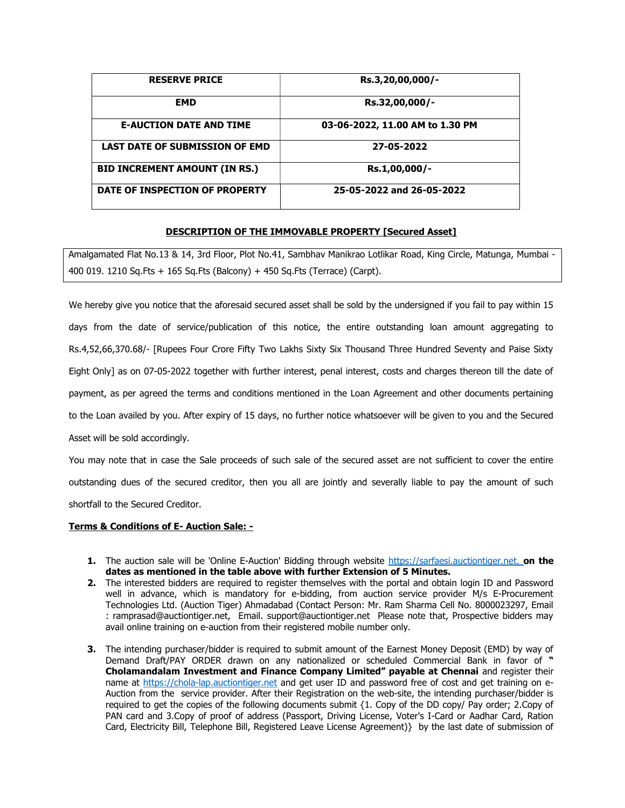| <b>RESERVE PRICE</b>                  | Rs.3,20,00,000/-                |
|---------------------------------------|---------------------------------|
| <b>EMD</b>                            | Rs.32,00,000/-                  |
| <b>E-AUCTION DATE AND TIME</b>        | 03-06-2022, 11.00 AM to 1.30 PM |
| <b>LAST DATE OF SUBMISSION OF EMD</b> | 27-05-2022                      |
| <b>BID INCREMENT AMOUNT (IN RS.)</b>  | Rs.1,00,000/-                   |
| DATE OF INSPECTION OF PROPERTY        | 25-05-2022 and 26-05-2022       |

## DESCRIPTION OF THE IMMOVABLE PROPERTY [Secured Asset]

Amalgamated Flat No.13 & 14, 3rd Floor, Plot No.41, Sambhav Manikrao Lotlikar Road, King Circle, Matunga, Mumbai - 400 019. 1210 Sq.Fts + 165 Sq.Fts (Balcony) + 450 Sq.Fts (Terrace) (Carpt).

We hereby give you notice that the aforesaid secured asset shall be sold by the undersigned if you fail to pay within 15 days from the date of service/publication of this notice, the entire outstanding loan amount aggregating to Rs.4,52,66,370.68/- [Rupees Four Crore Fifty Two Lakhs Sixty Six Thousand Three Hundred Seventy and Paise Sixty Eight Only] as on 07-05-2022 together with further interest, penal interest, costs and charges thereon till the date of payment, as per agreed the terms and conditions mentioned in the Loan Agreement and other documents pertaining to the Loan availed by you. After expiry of 15 days, no further notice whatsoever will be given to you and the Secured Asset will be sold accordingly.

You may note that in case the Sale proceeds of such sale of the secured asset are not sufficient to cover the entire outstanding dues of the secured creditor, then you all are jointly and severally liable to pay the amount of such shortfall to the Secured Creditor.

## Terms & Conditions of E- Auction Sale: -

- 1. The auction sale will be 'Online E-Auction' Bidding through website https://sarfaesi.auctiontiger.net. on the dates as mentioned in the table above with further Extension of 5 Minutes.
- 2. The interested bidders are required to register themselves with the portal and obtain login ID and Password well in advance, which is mandatory for e-bidding, from auction service provider M/s E-Procurement Technologies Ltd. (Auction Tiger) Ahmadabad (Contact Person: Mr. Ram Sharma Cell No. 8000023297, Email : ramprasad@auctiontiger.net, Email. support@auctiontiger.net Please note that, Prospective bidders may avail online training on e-auction from their registered mobile number only.
- **3.** The intending purchaser/bidder is required to submit amount of the Earnest Money Deposit (EMD) by way of Demand Draft/PAY ORDER drawn on any nationalized or scheduled Commercial Bank in favor of " Cholamandalam Investment and Finance Company Limited" payable at Chennai and register their name at https://chola-lap.auctiontiger.net and get user ID and password free of cost and get training on e-Auction from the service provider. After their Registration on the web-site, the intending purchaser/bidder is required to get the copies of the following documents submit {1. Copy of the DD copy/ Pay order; 2.Copy of PAN card and 3.Copy of proof of address (Passport, Driving License, Voter's I-Card or Aadhar Card, Ration Card, Electricity Bill, Telephone Bill, Registered Leave License Agreement)} by the last date of submission of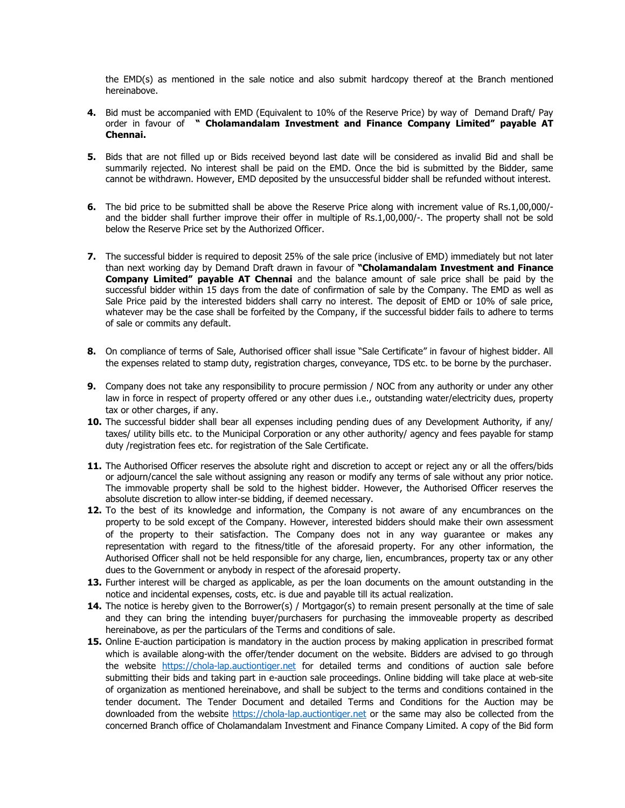the EMD(s) as mentioned in the sale notice and also submit hardcopy thereof at the Branch mentioned hereinabove.

- 4. Bid must be accompanied with EMD (Equivalent to 10% of the Reserve Price) by way of Demand Draft/ Pay order in favour of " Cholamandalam Investment and Finance Company Limited" payable AT Chennai.
- 5. Bids that are not filled up or Bids received beyond last date will be considered as invalid Bid and shall be summarily rejected. No interest shall be paid on the EMD. Once the bid is submitted by the Bidder, same cannot be withdrawn. However, EMD deposited by the unsuccessful bidder shall be refunded without interest.
- 6. The bid price to be submitted shall be above the Reserve Price along with increment value of Rs.1,00,000/ and the bidder shall further improve their offer in multiple of Rs.1,00,000/-. The property shall not be sold below the Reserve Price set by the Authorized Officer.
- 7. The successful bidder is required to deposit 25% of the sale price (inclusive of EMD) immediately but not later than next working day by Demand Draft drawn in favour of "Cholamandalam Investment and Finance Company Limited" payable AT Chennai and the balance amount of sale price shall be paid by the successful bidder within 15 days from the date of confirmation of sale by the Company. The EMD as well as Sale Price paid by the interested bidders shall carry no interest. The deposit of EMD or 10% of sale price, whatever may be the case shall be forfeited by the Company, if the successful bidder fails to adhere to terms of sale or commits any default.
- 8. On compliance of terms of Sale, Authorised officer shall issue "Sale Certificate" in favour of highest bidder. All the expenses related to stamp duty, registration charges, conveyance, TDS etc. to be borne by the purchaser.
- 9. Company does not take any responsibility to procure permission / NOC from any authority or under any other law in force in respect of property offered or any other dues i.e., outstanding water/electricity dues, property tax or other charges, if any.
- 10. The successful bidder shall bear all expenses including pending dues of any Development Authority, if any/ taxes/ utility bills etc. to the Municipal Corporation or any other authority/ agency and fees payable for stamp duty /registration fees etc. for registration of the Sale Certificate.
- 11. The Authorised Officer reserves the absolute right and discretion to accept or reject any or all the offers/bids or adjourn/cancel the sale without assigning any reason or modify any terms of sale without any prior notice. The immovable property shall be sold to the highest bidder. However, the Authorised Officer reserves the absolute discretion to allow inter-se bidding, if deemed necessary.
- 12. To the best of its knowledge and information, the Company is not aware of any encumbrances on the property to be sold except of the Company. However, interested bidders should make their own assessment of the property to their satisfaction. The Company does not in any way guarantee or makes any representation with regard to the fitness/title of the aforesaid property. For any other information, the Authorised Officer shall not be held responsible for any charge, lien, encumbrances, property tax or any other dues to the Government or anybody in respect of the aforesaid property.
- 13. Further interest will be charged as applicable, as per the loan documents on the amount outstanding in the notice and incidental expenses, costs, etc. is due and payable till its actual realization.
- 14. The notice is hereby given to the Borrower(s) / Mortgagor(s) to remain present personally at the time of sale and they can bring the intending buyer/purchasers for purchasing the immoveable property as described hereinabove, as per the particulars of the Terms and conditions of sale.
- 15. Online E-auction participation is mandatory in the auction process by making application in prescribed format which is available along-with the offer/tender document on the website. Bidders are advised to go through the website https://chola-lap.auctiontiger.net for detailed terms and conditions of auction sale before submitting their bids and taking part in e-auction sale proceedings. Online bidding will take place at web-site of organization as mentioned hereinabove, and shall be subject to the terms and conditions contained in the tender document. The Tender Document and detailed Terms and Conditions for the Auction may be downloaded from the website https://chola-lap.auctiontiger.net or the same may also be collected from the concerned Branch office of Cholamandalam Investment and Finance Company Limited. A copy of the Bid form